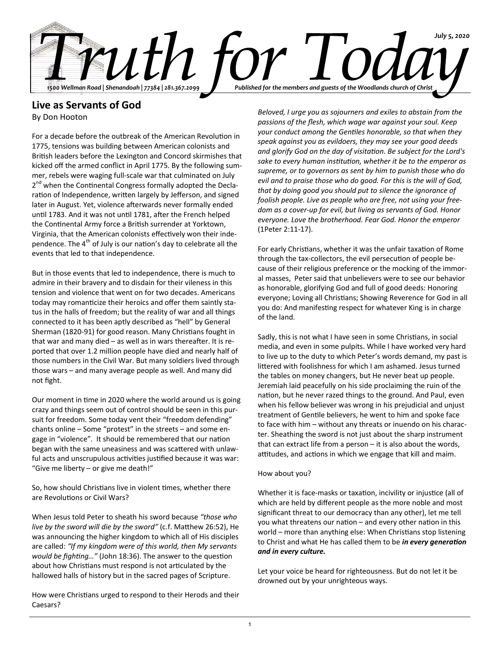

# **Live as Servants of God**

By Don Hooton

For a decade before the outbreak of the American Revolution in 1775, tensions was building between American colonists and British leaders before the Lexington and Concord skirmishes that kicked off the armed conflict in April 1775. By the following summer, rebels were waging full-scale war that culminated on July 2<sup>nd</sup> when the Continental Congress formally adopted the Declaration of Independence, written largely by Jefferson, and signed later in August. Yet, violence afterwards never formally ended until 1783. And it was not until 1781, after the French helped the Continental Army force a British surrender at Yorktown, Virginia, that the American colonists effectively won their independence. The  $4<sup>th</sup>$  of July is our nation's day to celebrate all the events that led to that independence.

But in those events that led to independence, there is much to admire in their bravery and to disdain for their vileness in this tension and violence that went on for two decades. Americans today may romanticize their heroics and offer them saintly status in the halls of freedom; but the reality of war and all things connected to it has been aptly described as "hell" by General Sherman (1820-91) for good reason. Many Christians fought in that war and many died – as well as in wars thereafter. It is reported that over 1.2 million people have died and nearly half of those numbers in the Civil War. But many soldiers lived through those wars – and many average people as well. And many did not fight.

Our moment in time in 2020 where the world around us is going crazy and things seem out of control should be seen in this pursuit for freedom. Some today vent their "freedom defending" chants online – Some "protest" in the streets – and some engage in "violence". It should be remembered that our nation began with the same uneasiness and was scattered with unlawful acts and unscrupulous activities justified because it was war: "Give me liberty – or give me death!"

So, how should Christians live in violent times, whether there are Revolutions or Civil Wars?

When Jesus told Peter to sheath his sword because *"those who live by the sword will die by the sword"* (c.f. Matthew 26:52), He was announcing the higher kingdom to which all of His disciples are called: *"If my kingdom were of this world, then My servants would be fighting…"* (John 18:36). The answer to the question about how Christians must respond is not articulated by the hallowed halls of history but in the sacred pages of Scripture.

How were Christians urged to respond to their Herods and their Caesars?

*Beloved, I urge you as sojourners and exiles to abstain from the passions of the flesh, which wage war against your soul. Keep your conduct among the Gentiles honorable, so that when they speak against you as evildoers, they may see your good deeds and glorify God on the day of visitation. Be subject for the Lord's sake to every human institution, whether it be to the emperor as supreme, or to governors as sent by him to punish those who do evil and to praise those who do good. For this is the will of God, that by doing good you should put to silence the ignorance of foolish people. Live as people who are free, not using your freedom as a cover-up for evil, but living as servants of God. Honor everyone. Love the brotherhood. Fear God. Honor the emperor* (1Peter 2:11-17).

For early Christians, whether it was the unfair taxation of Rome through the tax-collectors, the evil persecution of people because of their religious preference or the mocking of the immoral masses, Peter said that unbelievers were to see our behavior as honorable, glorifying God and full of good deeds: Honoring everyone; Loving all Christians; Showing Reverence for God in all you do: And manifesting respect for whatever King is in charge of the land.

Sadly, this is not what I have seen in some Christians, in social media, and even in some pulpits. While I have worked very hard to live up to the duty to which Peter's words demand, my past is littered with foolishness for which I am ashamed. Jesus turned the tables on money changers, but He never beat up people. Jeremiah laid peacefully on his side proclaiming the ruin of the nation, but he never razed things to the ground. And Paul, even when his fellow believer was wrong in his prejudicial and unjust treatment of Gentile believers, he went to him and spoke face to face with him – without any threats or inuendo on his character. Sheathing the sword is not just about the sharp instrument that can extract life from a person – it is also about the words, attitudes, and actions in which we engage that kill and maim.

### How about you?

Whether it is face-masks or taxation, incivility or injustice (all of which are held by different people as the more noble and most significant threat to our democracy than any other), let me tell you what threatens our nation – and every other nation in this world – more than anything else: When Christians stop listening to Christ and what He has called them to be *in every generation and in every culture.*

Let your voice be heard for righteousness. But do not let it be drowned out by your unrighteous ways.